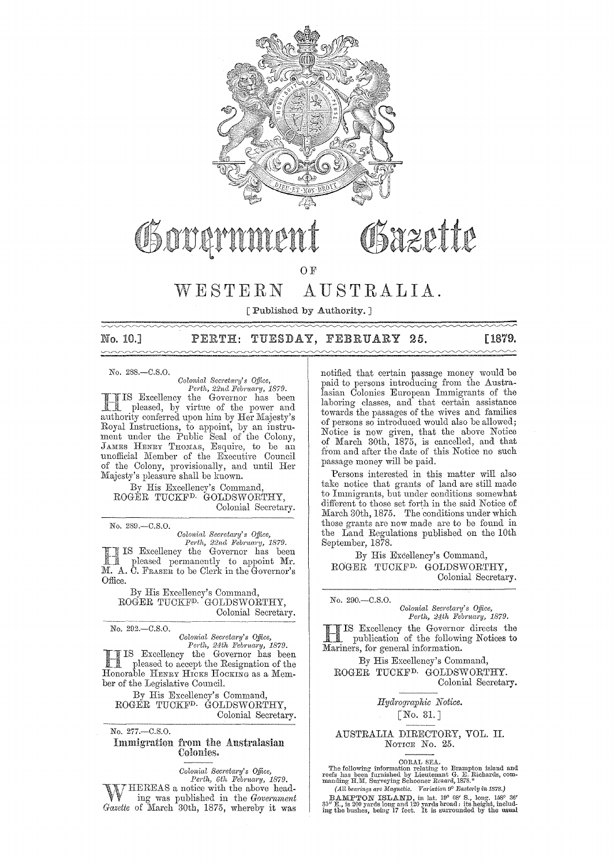

## Bazette Governmer

 $O F$ 

#### $W E S T E R N$ AUSTRALIA.

[ Published by Authority. ]

No. 10.1

## PERTH: TUESDAY, FEBRUARY 25.

[1879.

No. 288.-C.S.O.

Colonial Secretary's Office,

Perth, 22nd February, 1879.<br>
IS Excellency the Governor has been<br>
pleased. hy virtuo of the pleased, by virtue of the power and a a pleased, by virtue of the power and<br>authority conferred upon him by Her Majesty's<br>Royal Instructions, to appoint, by an instru-<br>ment under the Public Seal of the Colony,<br>JAMES HENRY THOMAS, Esquire, to be an unofficial Member of the Executive Council<br>of the Colony, provisionally, and until Her Majesty's pleasure shall be known.

By His Excellency's Command. ROGÉR TUCKF<sup>D.</sup> GOLDSWORTHY, Colonial Secretary.

No. 289.-C.S.O.

Colonial Secretary's Office,

*Perth, 22nd February, 1879.*<br>IS Excellency the Governor has been pleased permanently to appoint Mr. M. A. C. FRASER to be Clerk in the Governor's Office.

By His Excellency's Command, ROGER TUCKFP GOLDSWORTHY, Colonial Secretary.

No. 292 .- C.S.O.

Colonial Secretary's Office,<br>Perth, 24th February, 1879.

IS Excellency the Governor has been pleased to accept the Resignation of the Honorable HENRY HICKS HOCKING as a Member of the Legislative Council.

By His Excellency's Command, ROGER TUCKF<sup>D</sup> GOLDSWORTHY, Colonial Secretary.

No. 277.-C.S.O.

## Immigration from the Australasian Colonies.

Colonial Secretary's Office,

Perth, 6th February, 1879.<br>HEREAS a notice with the above head-

ing was published in the Government Gazette of March 30th, 1875, whereby it was notified that certain passage money would be paid to persons introducing from the Australasian Colonies European Immigrants of the laboring classes, and that certain assistance towards the passages of the wives and families of persons so introduced would also be allowed; Notice is now given, that the above Notice of March 30th, 1875, is cancelled, and that from and after the date of this Notice no such passage money will be paid.

Persons interested in this matter will also take notice that grants of land are still made to Immigrants, but under conditions somewhat different to those set forth in the said Notice of March 30th, 1875. The conditions under which those grants are now made are to be found in the Land Regulations published on the 10th September, 1878.

By His Excellency's Command, ROGER TUCKF<sup>D.</sup> GOLDSWORTHY, Colonial Secretary.

No. 290,-C.S.O.

Colonial Secretary's Office, Perth, 24th February, 1879.

IS Excellency the Governor directs the Mariners, for general information.

By His Excellency's Command, ROGER TUCKF<sup>D.</sup> GOLDSWORTHY. Colonial Secretary.

Hydrographic Notice.

## $\lceil$  No. 31.]

AUSTRALIA DIRECTORY, VOL. II. NOTICE No. 25.

CORAL SEA.<br>
CORAL SEA.<br>
The following information relating to Brampton island and<br>
reefs has been furnished by Lieutenant G. E. Richards, commanding H.M. Surveying Schooner Renard, 1878.\*<br>
(All bearings are Magnetic. Vari

BAMPTON ISLAND, in lat. 19° 08' S., long. 156° 36'<br>35" E., is 200 yards long and 120 yards broad: its height, includ-<br>ing the bushes, being 17 feet. It is surrounded by the usual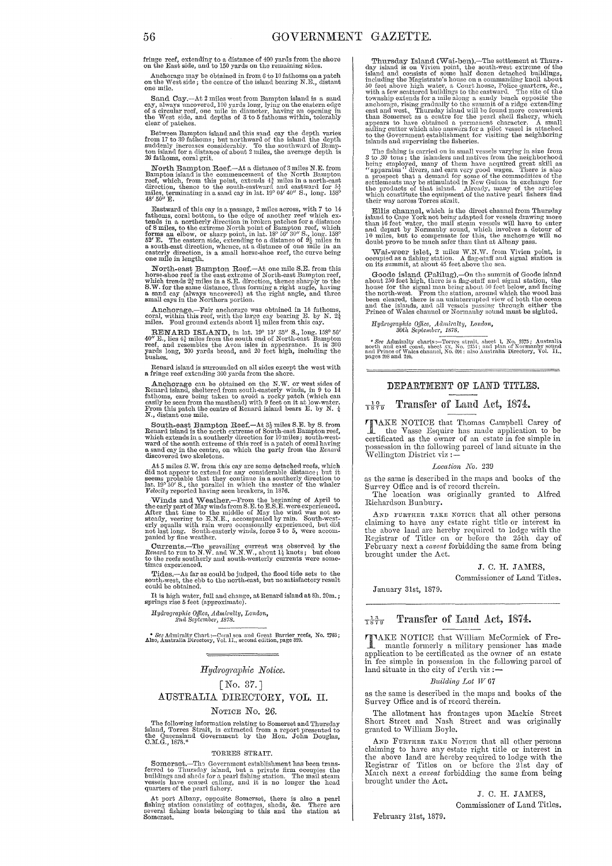fringe reef, extending to a distance of 400 yards from the shore on the East side, and to 150 yards on the remaining sides.

Anchorage may be obtained in from 6 to 10 fathoms on a patch on the West side; the centre of the island bearing N.E., distant one mile.

Sand Cay.—At  $2$  miles west from Bampton island is a sand cay, always uncovered, 100 yards long, lying on the eastern edge of a circular reef, one mile in diameter, having an opening in the West side, and depths of  $3$  to

Between Bampton island and this sand cay the depth varies<br>from 17 to 39 fathoms; but northward of the island the depth<br>staddenly increases considerably. To the southward of Bampton<br>sland for a distance of about 2 miles, th

North Bampton Reef.—At a distance of 3 miles N.E. from Bampton island is the commencement of the North Bampton reef, which, from this point, extends  $4\frac{3}{4}$  miles in a north-east direction, thence to the south-eastward

Eastward of this cay is a passage, 2 miles across, with 7 to 14<br>fathoms, coral bottom, to the edge of another reef which ex-<br>tends in a northerly direction in broken patches for a distance<br>of S miles, to the extreme North

North-east Bampton Reef. $-At$  one mile S.E. from this horse-shoe reef is the east extreme of North-east Bampton reef, which trends  $2q$  miles in a S.E. direction, thence sharply to the S.W. for the same distance, thus form

Anchorage.—Fair anchorage was obtained in 14 fathoms, cornl, within this reef, with the large cay bearing E. by N. 2 $\frac{1}{4}$  miles from this cay.

RENARD ISLAND, in lat.  $19^{\circ}$  13'  $35''$  S., long.  $158^{\circ}56'$   $40''$  E., lies  $4\frac{3}{4}$  miles from the south end of North-east Bampton reef, and resembles the Avon isles in appearance. It is 300 yards long, 200 yards b

Renard island is surrounded on all sides except the west with a fringe reef extending  $300$  yards from the shore.

Anchorage can be obtained on the N.W. or west sides of Remard island, sheltered from south-easterly winds, in 9 to 14 fahloms, care being taken to avoid a rocky patch (which can easily be seen from the masthead) with 9 fe

South-east Bampton Reef. $-At 3\frac{1}{2}$  miles S.E. by S. from Renard island is the north extreme of South-east Bampton reef, which extracted in a southerly direction for 10 miles; south-westward of the south extreme of this

At 5 miles S.W. from this cay are some detached reefs, which did not appear to extend for any considerable distance; but it is seems probable that they continue in a southerly direction to lat. 19°50' S., the parallel in

Winds and Weather.—From the beginning of April to the early part of May winds from S.E. to E.S.E. were experienced.<br>After that time to the middle of May the wind was not so<br>steady, veering to E.N.E., accompanied by rain. S erly squalls with rain were occusionally experienced, but did included and the state long. South-easterly winds, force 3 to 5, were accom-<br>panied by fine weather.

Currents.—The prevailing current was observed by the *Renard* to run to N.W. and W.N.W., about 1<sup>3</sup> knots; but close to the reefs southerly and south-westerly currents were some-<br>times experienced.

Tides.—As far as could be judged, the flood tide sets to the south-west, the ebb to the could be obtained.

It is high water, full and change, at Renard island at 8h. 20m. ; springs rise 5 feet (approximate).

*Hydrographic Office, Admiralty, London,*  $2nd$  September, 1878.

\* See Admiralty Chart :--Coral sea and Great Barrier reefs, No. 2763 ;<br>Also, Australia Directory, Vol. 1I., second edition, page 329.

## *Hyd1'ogmphic Notice.*

## [No. 37.J AUSTRALIA DIRECTORY, VOL. II. NOTICE No. 26.

The following information relating to Somerset and Thursday island, Torres Strait, is extracted from a report presented to the Queensland Government by the Hon. John Douglas, C.M.G., 1878.\*

#### TORRES STRAIT.

Somerset.—The Government establishment has been transferred to Thursday island, but a private firm occupies the buildings and sheds for a pearl fishing station. The mail steam vessels have ceased calling, and it is no long

At port Albany, opposite Somerset, there is also a pearl fishing station consisting of cottages, sheds, &c. There are geveral fishing boats belonging to this and the station at Somerset.

Thursday Island (Wai-ben).—The settlement at Thurs-<br>day island is on Vivien point, the south-west extreme of the<br>island and consists of some half dozen detached buildings, including the Magistrate's house on a commanding knoll about<br>fol the above high water, a Court house, Police quarters, &c.,<br>with a few scattered buildings to the castward. The site of the<br>township extends for a mile along

The fishing is carried on in small vessels varying in size from<br>3 to 30 tons ; the islanders and natives from the neighborhood<br>being employed, many of them have acquired great skill as<br>"apparatus" divers, and earn very go

Ellis channel, which is the direct channel from Thursday island to Cape York not being adapted for vessels drawing more than 16 feet water, the mail steam vessels will have to enter and depart by Normanby sound, which inv

Waj-weer islet, 2 miles W.N.W. from Vivien point, is occupied as a fishing station. A flag-staff and signal station is on its summit, at about 45 feet above the sea,

Groode island (Palilug).—On the summit of Goode island<br>about 250 feet high, there is a fac-staff and signal station, the<br>house for the signal man being about 50 feet below, and facing<br>the north-west. From the station, arou

*Hydrographic Office, Admiralty, London,*<br>30th September, 1878.

\* See Adminalty charts:--Torres strait, sheet 1, No. 2375 ; Australia north and east coast. sheet xx, No. 251; aud plan of Normanby sound Prince of Wales channel, No. 301 : also Australia Directory, Vol. II., pages 208 and

## DEPARTMENT OF LAND TITLES.

#### $\frac{10}{1879}$ Transfer of Land Act, 1874.

TAKE NOTICE that Thomas Campbell Carey of the Vasse Esquire has made application to be contributed. certificated as the owner of an estate in fee simple in possession in the following parcel of land situate in the ·Wellington District viz:-

#### Location No. 239

as the same is described in the maps and books of the Survey Office and is of record therein.<br>The location was originally granted to Alfred Richardson Bunbury.

AND FURTHER TAKE NOTICE that all other persons claiming to have any estate right title or interest in the above land are hereby required to lodge with the Registrar of Titles on or before the 25th day of<br>February next a *caveat* forbidding the same from being brought under the Act.

### J. C. H. JAMES,

Commissioner of Land Titles.

January 31st, 1879.

#### Transfer of Laml Act, 1874.  $\frac{13}{1879}$

TAKE NOTICE that Willimn McCormick of Fre-mantle formerly a military pensioner has made application to be certificated as the owner of an estate in fee simple in possession in the following parcel of land situate in the city of Perth viz :-

#### *Building Lot W 67*

as the same is described in the maps and books of the Survey Office and is of record therein.

The allotment has frontages upon Mackie Street Short Street and Nash Street and was originally granted to William Boyle.

AND FURTHER TAKE NOTICE that all other persons claiming to have any estate right title or interest in the above land are hereby required to lodge with the Registrar of Titles on or before the 21st day of March next a *caveat* forbidding the same from being brought under the Act.

J. C. H. JAMES,

Commissioner of Land Titles.

Febrnary 21st, 1879.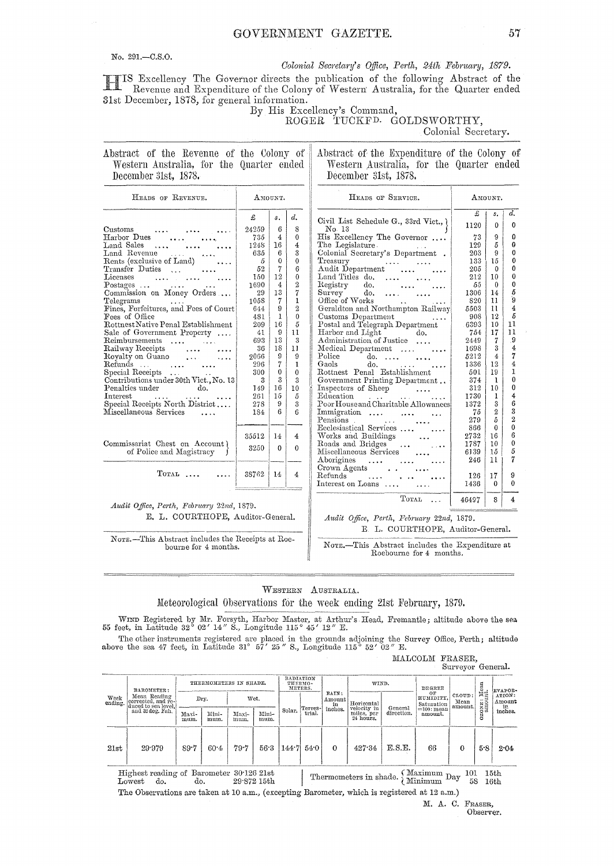## GOVERNMENT GAZETTE.

No. 291,-C.S.O.

### Colonial Secretary's Office, Perth, 24th February, 1879.

IS Excellency The Governor directs the publication of the following Abstract of the Revenue and Expenditure of the Colony of Western Australia, for the Quarter ended 31st December, 1878, for general information.

# By His Excellency's Command,<br>ROGER TUCKFD. GOLDSWORTHY,

Colonial Secretary.

AMOUNT.

| Abstract of the Revenue of the Colony of |  |  |  |  |  |
|------------------------------------------|--|--|--|--|--|
| Western Australia, for the Quarter ended |  |  |  |  |  |
| December 31st, 1878.                     |  |  |  |  |  |

Abstract of the Expenditure of the Colony of Western Australia, for the Quarter ended December 31st, 1878.

| HEADS OF REVENUE.                                                                                                                |       | AMOUNT.        |                      | HEADS OF SERVICE.                          |
|----------------------------------------------------------------------------------------------------------------------------------|-------|----------------|----------------------|--------------------------------------------|
|                                                                                                                                  | £     | $s$ .          | d.                   | Civil List Schedule G., 33rd               |
| $\rm Customs$<br>and the state of the state of the state of the state of the state of the state of the state of the state of the | 24259 | 6              | 8                    | No. 13                                     |
| Harbor Dues                                                                                                                      | 735   | 4              | $\Omega$             | His Excellency The Govern                  |
| Land Sales                                                                                                                       | 1248  | 16             | $\overline{4}$       | The Legislature.                           |
| Land Revenue                                                                                                                     | 635   | 6              | 3                    | Colonial Secretary's Depart:               |
| Rents (exclusive of Land)                                                                                                        | 5     | $\theta$       | $\theta$             | Treasury                                   |
| Transfer Duties<br>$\mathbf{r}$ and $\mathbf{r}$ are the set of $\mathbf{r}$                                                     | 52    | 7              | 6                    | Audit Department                           |
| Licenses                                                                                                                         | 150   | 12             | $\mathbf{0}$         | Land Titles do.<br>$\cdots$                |
|                                                                                                                                  | 1690  | $\overline{4}$ | $\overline{2}$       | $_{\rm{Registry}}$<br>do.                  |
| Postages<br>Commission on Money Orders                                                                                           | 29    | 13             | 7                    | Survey<br>do.<br>$\cdots$                  |
| Telegrams                                                                                                                        | 1058  | $\overline{7}$ | 1                    | Office of Works                            |
| Fines, Forfeitures, and Fees of Court                                                                                            | 644   | 9              | $\overline{2}$       | Geraldton and Northampton                  |
| Fees of Office                                                                                                                   | 481   | 1              | $\theta$             | Customs Department                         |
| Rottnest Native Penal Establishment                                                                                              | 209   | 16             | 5                    | Postal and Telegraph Depart                |
| Sale of Government Property                                                                                                      | 41    | 9              | 11                   | Harbor and Light                           |
| Reimbursements                                                                                                                   | 693   | 13             | 3                    | Administration of Justice.                 |
| Railway Receipts                                                                                                                 | 36    | 18             | 11                   | Medical Department                         |
| Royalty on Guano                                                                                                                 | 2066  | 9              | 9                    | Police <sup>-</sup><br>do.<br>$\mathbf{1}$ |
| Refunds $\dots$ $\dots$ $\dots$                                                                                                  | 296   | 7              | 1                    | Gaols<br>do.<br><b>Contract</b>            |
| Special Receipts                                                                                                                 | 300   | $\mathbf 0$    | $\theta$             | Rottnest Penal Establishm                  |
| Contributions under 30th Vict., No. 13                                                                                           | 3     | 3              | 3                    | Government Printing Depart                 |
| $d\sigma$ .<br>$\rm{Penalties}$ under                                                                                            | 149   | 16             | 10                   | Inspectors of Sheep                        |
| ${\rm Interest}$<br><b>Contractor</b><br><b>SALES</b>                                                                            | 261   | 15             | 5                    | Education                                  |
| Special Receipts North District                                                                                                  | 278   | 9              | 3                    | Poor House and Charitable AI               |
| Miscellaneous Services<br>$\sim$ $\sim$ $\sim$                                                                                   | 184   | 6              | $\boldsymbol{\beta}$ | Immigration                                |
|                                                                                                                                  |       |                |                      | Pensions.                                  |
|                                                                                                                                  |       |                |                      | Ecclesiastical Services                    |
|                                                                                                                                  | 35512 | 14             | $\overline{4}$       | Works and Buildings                        |
| Commissariat Chest on Account)                                                                                                   | 3250  | $\mathbf{0}$   | $\mathbf{0}$         | Roads and Bridges                          |
| of Police and Magistracy                                                                                                         |       |                |                      | Miscellaneous Services                     |
|                                                                                                                                  |       |                |                      | Aborigines                                 |
|                                                                                                                                  |       |                |                      | Crown Agents                               |
| $T$ OTAL                                                                                                                         | 38762 | 14             | 4                    | Refunds $\ldots$ $\ldots$                  |
|                                                                                                                                  |       |                |                      | Interest on Loans                          |

Audit Office, Perth, February 22nd, 1879. E. L. COURTHOPE, Auditor-General.

NOTE.-This Abstract includes the Receipts at Roebourne for 4 months.

|                                                                        | £     | s.               | d.             |
|------------------------------------------------------------------------|-------|------------------|----------------|
| Civil List Schedule G., 33rd Vict., \<br>No. 13                        | 1120  | 0                | 0              |
| His Excellency The Governor                                            | 73    | 9                | 0              |
| The Legislature.                                                       | 129   | 5                | 0              |
| Colonial Secretary's Department.                                       | 203   | 9                | $\theta$       |
| Treasury                                                               | 133   | 15               | 0              |
| Treasury<br>Audit Department                                           | 205   | $\mathbf{0}$     | 0              |
| Land Titles do. $\ldots$                                               | 212   | 10               | 0              |
| Registry do.                                                           | 55    | 0                | 0              |
| Survey do. $\ldots$                                                    | 1306  | 14               | 5              |
| Office of Works                                                        | 820   | 11               | g.             |
| Geraldton and Northampton Railway                                      | 5503  | $\mathbf{11}$    | $\overline{4}$ |
| Customs Department                                                     | 908   | 12               | 5              |
| Postal and Telegraph Department                                        | 6393  | 10 <sup>°</sup>  | 11             |
| Harbor and Light do.                                                   | 754   | 17               | 11             |
| Administration of Justice                                              | 2449  | 7                | .9             |
| Medical Department                                                     | 1698  | 3                | $\overline{4}$ |
| Police do.                                                             | 5212  | $\overline{4}$   | 7              |
| Gaols do.                                                              | 1336  | 12               | $\overline{4}$ |
| Rottnest Penal Establishment                                           | 501   | 19               | Ĩ.             |
| Government Printing Department                                         | 374   | ı                | $\theta$       |
| Inspectors of Sheep<br>Education                                       | 312   | 10               | 0              |
|                                                                        | 1730  | 1                | 4              |
| Poor House and Charitable Allowances                                   | 1372  | 3                | 6              |
| Immigration                                                            | 75    | $\boldsymbol{2}$ | 3              |
| Pensions.                                                              | 279   | 5                | $\overline{2}$ |
| Ecclesiastical Services                                                | 866   | 0                | $\bf{0}$       |
|                                                                        | 2732  | 16               | 6              |
|                                                                        | 1787  | 10               | Ò              |
| Works and Buildings<br>Roads and Bridges<br>Miscellaneous Services<br> | 6139  | 15               | 5              |
| Aborigines                                                             | 246   | 11               | 7              |
|                                                                        |       |                  |                |
| Crown Agents<br>Refunds                                                | 126   | 17               | 9              |
| Interest on Loans                                                      | 1436  | 0                | 0              |
|                                                                        |       |                  |                |
| TOTAL                                                                  | 46497 | 8                | $\overline{4}$ |

Audit Office, Perth, February 22nd, 1879. E. L. COURTHOPE, Auditor-General.

NOTE.-This Abstract includes the Expenditure at Roebourne for 4 months.

WESTERN AUSTRALIA.

Meteorological Observations for the week ending 21st February, 1879.

WIND Registered by Mr. Forsyth, Harbor Master, at Arthur's Head, Fremantle; altitude above the sea 55 feet, in Latitude 32° 02' 14" S., Longitude 115° 45' 12" E.

The other instruments registered are placed in the grounds adjoining the Survey Office, Perth; altitude above the sea 47 feet, in Latitude 31° 57' 25" S., Longitude 115° 52' 02" E.

| MALCOLM FRASER, |                  |  |
|-----------------|------------------|--|
|                 | Surveyor General |  |

|      |                                                                                        |               |               |                        |               |        |                                 |                       |                                                     |            |                               | 54.1                      |                                                  |                                   |
|------|----------------------------------------------------------------------------------------|---------------|---------------|------------------------|---------------|--------|---------------------------------|-----------------------|-----------------------------------------------------|------------|-------------------------------|---------------------------|--------------------------------------------------|-----------------------------------|
|      | BAROMETER:                                                                             |               |               | THERMOMETERS IN SHADE. |               |        | RADIATION<br>THERMO-<br>METERS. |                       | WIND.                                               |            | DEGREE                        |                           | Mean<br>nt.<br>$\cdots$<br>ONE <sub>3</sub><br>ö | EVAPOR-                           |
|      | Mean Reading<br>Week Mean Reading<br>ending. corrected, and re-<br>duced to sea level. |               | Dry.          |                        | Wet.          |        | Terres-                         | RAIN:<br>Amount<br>in | Horizontal<br>velocity in                           | General    | OБ<br>HUMIDITY.<br>Saturation | CLOUD:<br>Mean<br>amount. |                                                  | ATION:<br>Amount<br>in<br>inches, |
|      | and 32 deg. Fah.                                                                       | Maxi-<br>mum. | Mini-<br>mum. | Maxi-<br>mum.          | Mini-<br>mum. | Solar. | trial.                          | inches.               | miles, per<br>24 hours.                             | direction. | $=100$ : mean<br>amount.      |                           |                                                  |                                   |
| 21st | 29.979                                                                                 | 89.7          | $60 - 4$      | $79 - 7$               | 56.3          |        | $144.7$ 54.0                    | $\Omega$              | 427.34                                              | E.S.E.     | 66                            | $\Omega$                  | 5.8                                              | 2.04                              |
|      | Highest reading of Barometer 30.126.21st                                               |               |               |                        |               |        | ---                             |                       | $\mathbf{r} = \mathbf{r} + \mathbf{r} + \mathbf{r}$ |            | $\zeta$ Maximum $\zeta$       | 101                       |                                                  | 15th                              |

Thermometers in shade.  $\begin{cases}$  maximum Day Lowest do. dò.  $29^\circ 872$ 15th 58 16th The Observations are taken at 10 a.m., (excepting Barometer, which is registered at 12 a.m.)

> M. A. C. FRASER, Observer.

 $57$